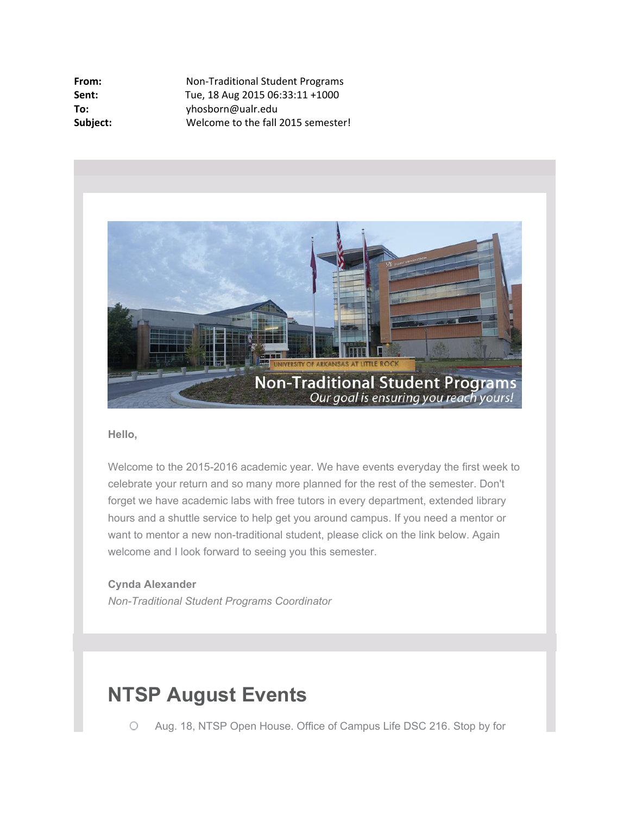| Non-Traditional Student Programs   |
|------------------------------------|
| Tue, 18 Aug 2015 06:33:11 +1000    |
| yhosborn@ualr.edu                  |
| Welcome to the fall 2015 semester! |
|                                    |



### **Hello,**

Welcome to the 2015-2016 academic year. We have events everyday the first week to celebrate your return and so many more planned for the rest of the semester. Don't forget we have academic labs with free tutors in every department, extended library hours and a shuttle service to help get you around campus. If you need a mentor or want to mentor a new non-traditional student, please click on the link below. Again welcome and I look forward to seeing you this semester.

### **Cynda Alexander**

*Non-Traditional Student Programs Coordinator*

# **NTSP August Events**

 $\circ$ Aug. 18, NTSP Open House. Office of Campus Life DSC 216. Stop by for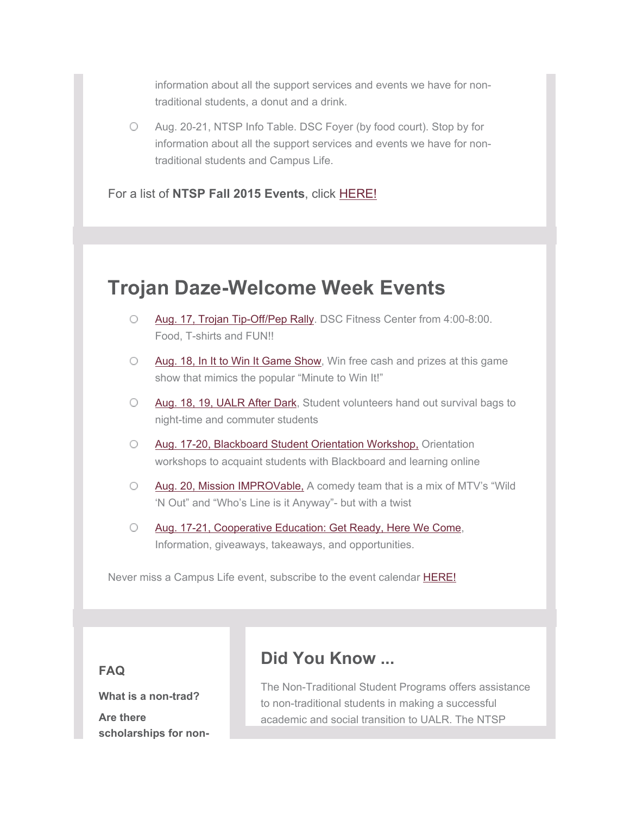information about all the support services and events we have for nontraditional students, a donut and a drink.

Aug. 20-21, NTSP Info Table. DSC Foyer (by food court). Stop by for  $\circ$ information about all the support services and events we have for nontraditional students and Campus Life.

For a list of **NTSP Fall 2015 Events**, click [HERE!](http://officeofcampuslife.cmail1.com/t/r-l-fjttyyd-dyhktulutj-y/)

# **Trojan Daze-Welcome Week Events**

- O [Aug. 17, Trojan Tip-Off/Pep Rally](http://officeofcampuslife.cmail1.com/t/r-l-fjttyyd-dyhktulutj-j/). DSC Fitness Center from 4:00-8:00. Food, T-shirts and FUN!!
- [Aug. 18, In It to Win It Game Show](http://officeofcampuslife.cmail1.com/t/r-l-fjttyyd-dyhktulutj-t/), Win free cash and prizes at this game 0 show that mimics the popular "Minute to Win It!"
- [Aug. 18, 19, UALR After Dark](http://officeofcampuslife.cmail1.com/t/r-l-fjttyyd-dyhktulutj-i/), Student volunteers hand out survival bags to  $\circ$ night-time and commuter students
- [Aug. 17-20, Blackboard Student Orientation Workshop,](http://officeofcampuslife.cmail1.com/t/r-l-fjttyyd-dyhktulutj-d/) Orientation  $\bigcirc$ workshops to acquaint students with Blackboard and learning online
- [Aug. 20, Mission IMPROVable,](http://officeofcampuslife.cmail1.com/t/r-l-fjttyyd-dyhktulutj-h/) A comedy team that is a mix of MTV's "Wild  $\circ$ 'N Out" and "Who's Line is it Anyway"- but with a twist
- $\circ$ [Aug. 17-21, Cooperative Education: Get Ready, Here We Come](http://officeofcampuslife.cmail1.com/t/r-l-fjttyyd-dyhktulutj-k/), Information, giveaways, takeaways, and opportunities.

Never miss a Campus Life event, subscribe to the event calendar **HERE!** 

**FAQ**

**What is a non-trad?**

**Are there scholarships for non-**

## **Did You Know ...**

The Non-Traditional Student Programs offers assistance to non-traditional students in making a successful academic and social transition to UALR. The NTSP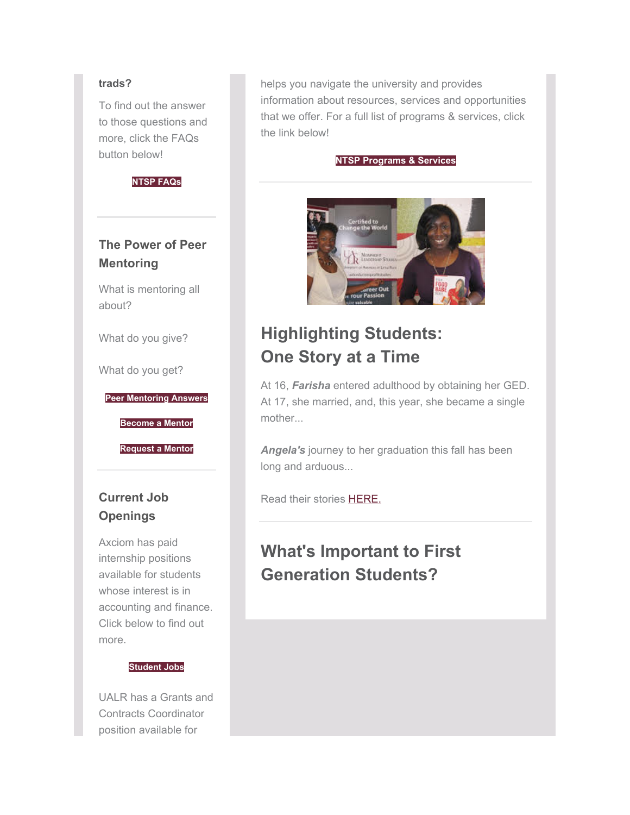### **trads?**

To find out the answer to those questions and more, click the FAQs button below!



### **The Power of Peer Mentoring**

What is mentoring all about?

What do you give?

What do you get?

**[Peer Mentoring Answers](http://officeofcampuslife.cmail1.com/t/r-l-fjttyyd-dyhktulutj-b/)**

**[Become a Mentor](http://officeofcampuslife.cmail1.com/t/r-l-fjttyyd-dyhktulutj-n/)**

**[Request a Mentor](http://officeofcampuslife.cmail1.com/t/r-l-fjttyyd-dyhktulutj-p/)**

### **Current Job Openings**

Axciom has paid internship positions available for students whose interest is in accounting and finance. Click below to find out more.

#### **[Student Jobs](http://officeofcampuslife.cmail1.com/t/r-l-fjttyyd-dyhktulutj-x/)**

UALR has a Grants and Contracts Coordinator position available for

helps you navigate the university and provides information about resources, services and opportunities that we offer. For a full list of programs & services, click the link below!

#### **[NTSP Programs & Services](http://officeofcampuslife.cmail1.com/t/r-l-fjttyyd-dyhktulutj-yd/)**



# **Highlighting Students: One Story at a Time**

At 16, *Farisha* entered adulthood by obtaining her GED. At 17, she married, and, this year, she became a single mother...

*Angela's* journey to her graduation this fall has been long and arduous...

Read their stories [HERE.](http://officeofcampuslife.cmail1.com/t/r-l-fjttyyd-dyhktulutj-yh/) 

## **What's Important to First Generation Students?**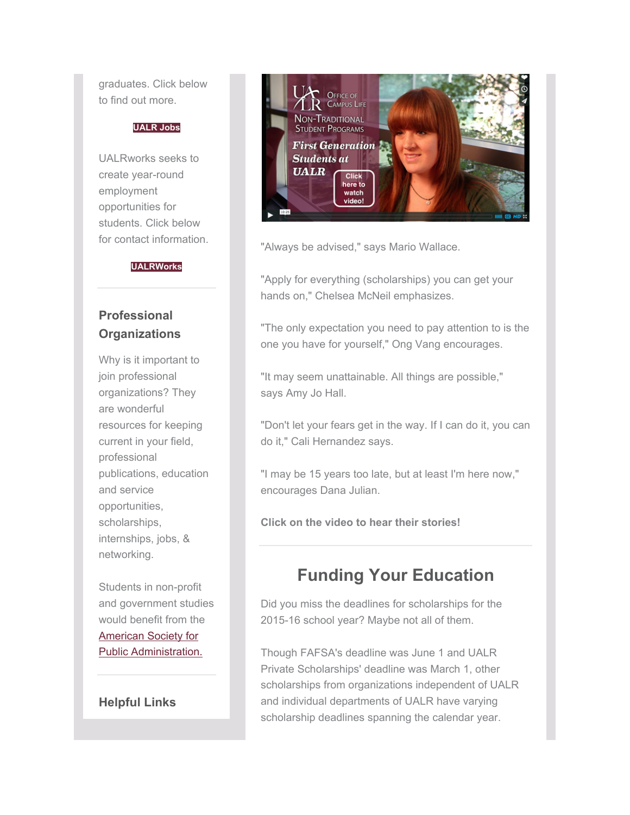graduates. Click below to find out more.

### **[UALR Jobs](http://officeofcampuslife.cmail1.com/t/r-l-fjttyyd-dyhktulutj-m/)**

UALRworks seeks to create year-round employment opportunities for students. Click below for contact information.

#### **[UALRWorks](http://officeofcampuslife.cmail1.com/t/r-l-fjttyyd-dyhktulutj-c/)**

### **Professional Organizations**

Why is it important to join professional organizations? They are wonderful resources for keeping current in your field, professional publications, education and service opportunities, scholarships, internships, jobs, & networking.

Students in non-profit and government studies would benefit from the [American Society for](http://officeofcampuslife.cmail1.com/t/r-l-fjttyyd-dyhktulutj-q/)  [Public Administration.](http://officeofcampuslife.cmail1.com/t/r-l-fjttyyd-dyhktulutj-q/) 

### **Helpful Links**



"Always be advised," says Mario Wallace.

"Apply for everything (scholarships) you can get your hands on," Chelsea McNeil emphasizes.

"The only expectation you need to pay attention to is the one you have for yourself," Ong Vang encourages.

"It may seem unattainable. All things are possible," says Amy Jo Hall.

"Don't let your fears get in the way. If I can do it, you can do it," Cali Hernandez says.

"I may be 15 years too late, but at least I'm here now," encourages Dana Julian.

**Click on the video to hear their stories!**

### **Funding Your Education**

Did you miss the deadlines for scholarships for the 2015-16 school year? Maybe not all of them.

Though FAFSA's deadline was June 1 and UALR Private Scholarships' deadline was March 1, other scholarships from organizations independent of UALR and individual departments of UALR have varying scholarship deadlines spanning the calendar year.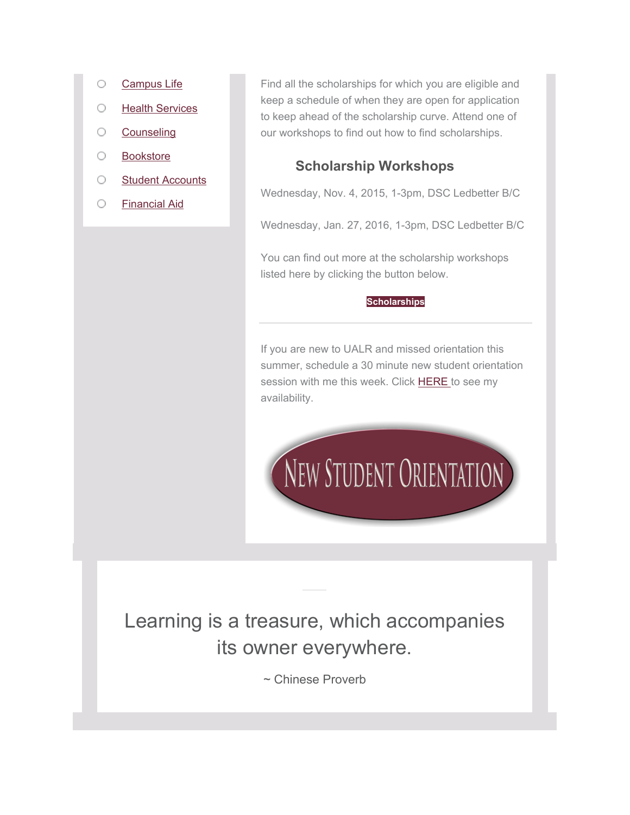- O [Campus Life](http://officeofcampuslife.cmail1.com/t/r-l-fjttyyd-dyhktulutj-a/)
- $\circ$ [Health Services](http://officeofcampuslife.cmail1.com/t/r-l-fjttyyd-dyhktulutj-f/)
- [Counseling](http://officeofcampuslife.cmail1.com/t/r-l-fjttyyd-dyhktulutj-e/)  $\circ$
- $\circ$ [Bookstore](http://officeofcampuslife.cmail1.com/t/r-l-fjttyyd-dyhktulutj-s/)
- $\circ$ [Student Accounts](http://officeofcampuslife.cmail1.com/t/r-l-fjttyyd-dyhktulutj-g/)
- O [Financial Aid](http://officeofcampuslife.cmail1.com/t/r-l-fjttyyd-dyhktulutj-w/)

Find all the scholarships for which you are eligible and keep a schedule of when they are open for application to keep ahead of the scholarship curve. Attend one of our workshops to find out how to find scholarships.

### **Scholarship Workshops**

Wednesday, Nov. 4, 2015, 1-3pm, DSC Ledbetter B/C

Wednesday, Jan. 27, 2016, 1-3pm, DSC Ledbetter B/C

You can find out more at the scholarship workshops listed here by clicking the button below.

#### **[Scholarships](http://officeofcampuslife.cmail1.com/t/r-l-fjttyyd-dyhktulutj-yu/)**

If you are new to UALR and missed orientation this summer, schedule a 30 minute new student orientation session with me this week. Click [HERE](http://officeofcampuslife.cmail1.com/t/r-l-fjttyyd-dyhktulutj-jl/) to see my availability.



# Learning is a treasure, which accompanies its owner everywhere.

~ Chinese Proverb